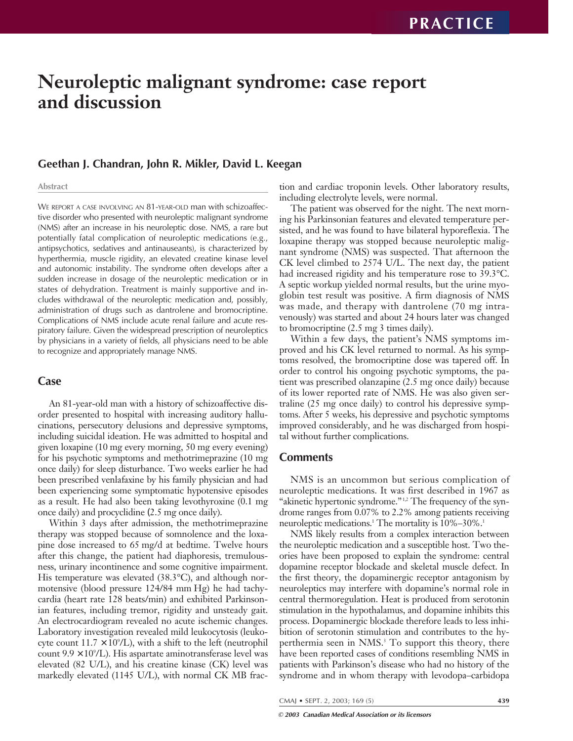# **Neuroleptic malignant syndrome: case report and discussion**

# **Geethan J. Chandran, John R. Mikler, David L. Keegan**

#### **Abstract**

WE REPORT A CASE INVOLVING AN 81-YEAR-OLD man with schizoaffective disorder who presented with neuroleptic malignant syndrome (NMS) after an increase in his neuroleptic dose. NMS, a rare but potentially fatal complication of neuroleptic medications (e.g., antipsychotics, sedatives and antinauseants), is characterized by hyperthermia, muscle rigidity, an elevated creatine kinase level and autonomic instability. The syndrome often develops after a sudden increase in dosage of the neuroleptic medication or in states of dehydration. Treatment is mainly supportive and includes withdrawal of the neuroleptic medication and, possibly, administration of drugs such as dantrolene and bromocriptine. Complications of NMS include acute renal failure and acute respiratory failure. Given the widespread prescription of neuroleptics by physicians in a variety of fields, all physicians need to be able to recognize and appropriately manage NMS.

## **Case**

An 81-year-old man with a history of schizoaffective disorder presented to hospital with increasing auditory hallucinations, persecutory delusions and depressive symptoms, including suicidal ideation. He was admitted to hospital and given loxapine (10mg every morning, 50 mg every evening) for his psychotic symptoms and methotrimeprazine (10 mg once daily) for sleep disturbance. Two weeks earlier he had been prescribed venlafaxine by his family physician and had been experiencing some symptomatic hypotensive episodes as a result. He had also been taking levothyroxine (0.1 mg once daily) and procyclidine (2.5 mg once daily).

Within 3 days after admission, the methotrimeprazine therapy was stopped because of somnolence and the loxapine dose increased to 65 mg/d at bedtime. Twelve hours after this change, the patient had diaphoresis, tremulousness, urinary incontinence and some cognitive impairment. His temperature was elevated (38.3°C), and although normotensive (blood pressure 124/84 mm Hg) he had tachycardia (heart rate 128 beats/min) and exhibited Parkinsonian features, including tremor, rigidity and unsteady gait. An electrocardiogram revealed no acute ischemic changes. Laboratory investigation revealed mild leukocytosis (leukocyte count  $11.7 \times 10^{9}$ /L), with a shift to the left (neutrophil count  $9.9 \times 10^{9}$ /L). His aspartate aminotransferase level was elevated (82 U/L), and his creatine kinase (CK) level was markedly elevated (1145 U/L), with normal CK MB frac-

tion and cardiac troponin levels. Other laboratory results, including electrolyte levels, were normal.

The patient was observed for the night. The next morning his Parkinsonian features and elevated temperature persisted, and he was found to have bilateral hyporeflexia. The loxapine therapy was stopped because neuroleptic malignant syndrome (NMS) was suspected. That afternoon the CK level climbed to 2574 U/L. The next day, the patient had increased rigidity and his temperature rose to 39.3°C. A septic workup yielded normal results, but the urine myoglobin test result was positive. A firm diagnosis of NMS was made, and therapy with dantrolene (70 mg intravenously) was started and about 24 hours later was changed to bromocriptine (2.5 mg 3 times daily).

Within a few days, the patient's NMS symptoms improved and his CK level returned to normal. As his symptoms resolved, the bromocriptine dose was tapered off. In order to control his ongoing psychotic symptoms, the patient was prescribed olanzapine (2.5 mg once daily) because of its lower reported rate of NMS. He was also given sertraline (25 mg once daily) to control his depressive symptoms. After 5 weeks, his depressive and psychotic symptoms improved considerably, and he was discharged from hospital without further complications.

# **Comments**

NMS is an uncommon but serious complication of neuroleptic medications. It was first described in 1967 as "akinetic hypertonic syndrome."<sup>1,2</sup> The frequency of the syndrome ranges from 0.07% to 2.2% among patients receiving neuroleptic medications.<sup>1</sup> The mortality is 10%–30%.<sup>1</sup>

NMS likely results from a complex interaction between the neuroleptic medication and a susceptible host. Two theories have been proposed to explain the syndrome: central dopamine receptor blockade and skeletal muscle defect. In the first theory, the dopaminergic receptor antagonism by neuroleptics may interfere with dopamine's normal role in central thermoregulation. Heat is produced from serotonin stimulation in the hypothalamus, and dopamine inhibits this process. Dopaminergic blockade therefore leads to less inhibition of serotonin stimulation and contributes to the hyperthermia seen in NMS.<sup>3</sup> To support this theory, there have been reported cases of conditions resembling NMS in patients with Parkinson's disease who had no history of the syndrome and in whom therapy with levodopa–carbidopa

CMAJ • SEPT. 2, 2003; 169 (5) **439**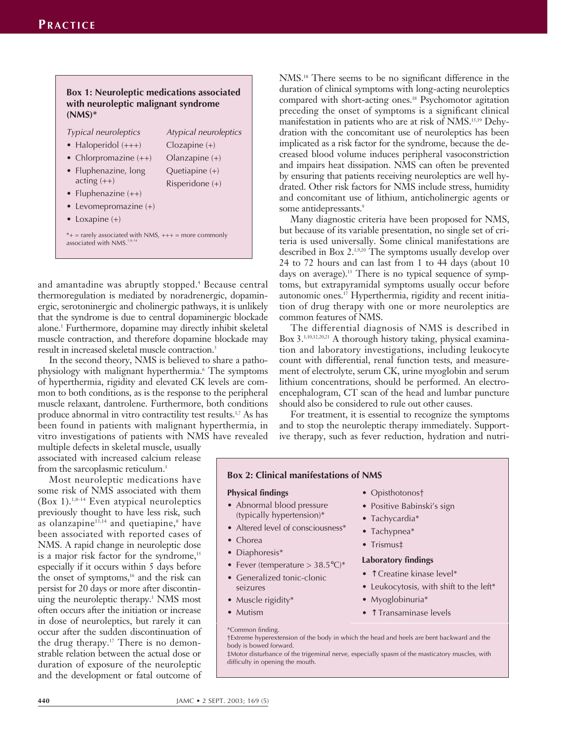| <b>Box 1: Neuroleptic medications associated</b><br>with neuroleptic malignant syndrome<br>$(NMS)*$ |                                   |
|-----------------------------------------------------------------------------------------------------|-----------------------------------|
| Typical neuroleptics                                                                                | Atypical neuroleptics             |
| • Haloperidol $(+++)$                                                                               | $Clozapine (+)$                   |
| • Chlorpromazine $(++)$                                                                             | Olanzapine $(+)$                  |
| • Fluphenazine, long<br>$acting (++)$<br>• Fluphenazine $(++)$                                      | Quetiapine (+)<br>Risperidone (+) |
| $\bullet$ Levomepromazine $(+)$                                                                     |                                   |
| • Loxapine $(+)$                                                                                    |                                   |

and amantadine was abruptly stopped.<sup>4</sup> Because central thermoregulation is mediated by noradrenergic, dopaminergic, serotoninergic and cholinergic pathways, it is unlikely that the syndrome is due to central dopaminergic blockade alone.1 Furthermore, dopamine may directly inhibit skeletal muscle contraction, and therefore dopamine blockade may result in increased skeletal muscle contraction.<sup>5</sup>

In the second theory, NMS is believed to share a pathophysiology with malignant hyperthermia.<sup>6</sup> The symptoms of hyperthermia, rigidity and elevated CK levels are common to both conditions, as is the response to the peripheral muscle relaxant, dantrolene. Furthermore, both conditions produce abnormal in vitro contractility test results.1,7 As has been found in patients with malignant hyperthermia, in vitro investigations of patients with NMS have revealed

multiple defects in skeletal muscle, usually associated with increased calcium release from the sarcoplasmic reticulum.<sup>5</sup>

associated with NMS.<sup>1,8-14</sup>

Most neuroleptic medications have some risk of NMS associated with them (Box 1). $1,1,8-14$  Even atypical neuroleptics previously thought to have less risk, such as olanzapine $13,14$  and quetiapine,<sup>8</sup> have been associated with reported cases of NMS. A rapid change in neuroleptic dose is a major risk factor for the syndrome,<sup>15</sup> especially if it occurs within 5 days before the onset of symptoms,<sup>16</sup> and the risk can persist for 20 days or more after discontinuing the neuroleptic therapy.<sup>1</sup> NMS most often occurs after the initiation or increase in dose of neuroleptics, but rarely it can occur after the sudden discontinuation of the drug therapy.<sup>17</sup> There is no demonstrable relation between the actual dose or duration of exposure of the neuroleptic and the development or fatal outcome of

NMS.18 There seems to be no significant difference in the duration of clinical symptoms with long-acting neuroleptics compared with short-acting ones.<sup>18</sup> Psychomotor agitation preceding the onset of symptoms is a significant clinical manifestation in patients who are at risk of NMS.15,19 Dehydration with the concomitant use of neuroleptics has been implicated as a risk factor for the syndrome, because the decreased blood volume induces peripheral vasoconstriction and impairs heat dissipation. NMS can often be prevented by ensuring that patients receiving neuroleptics are well hydrated. Other risk factors for NMS include stress, humidity and concomitant use of lithium, anticholinergic agents or some antidepressants.<sup>9</sup>

Many diagnostic criteria have been proposed for NMS, but because of its variable presentation, no single set of criteria is used universally. Some clinical manifestations are described in Box 2.<sup>1,9,20</sup> The symptoms usually develop over 24 to 72 hours and can last from 1 to 44 days (about 10 days on average).<sup>13</sup> There is no typical sequence of symptoms, but extrapyramidal symptoms usually occur before autonomic ones.17 Hyperthermia, rigidity and recent initiation of drug therapy with one or more neuroleptics are common features of NMS.

The differential diagnosis of NMS is described in Box 3.1,10,12,20,21 A thorough history taking, physical examination and laboratory investigations, including leukocyte count with differential, renal function tests, and measurement of electrolyte, serum CK, urine myoglobin and serum lithium concentrations, should be performed. An electroencephalogram, CT scan of the head and lumbar puncture should also be considered to rule out other causes.

For treatment, it is essential to recognize the symptoms and to stop the neuroleptic therapy immediately. Supportive therapy, such as fever reduction, hydration and nutri-

### **Box 2: Clinical manifestations of NMS**

#### **Physical findings**

- Abnormal blood pressure (typically hypertension)\*
- Altered level of consciousness\*
- Chorea
- Diaphoresis\*
- Fever (temperature  $> 38.5^{\circ}C$ )\*
- Generalized tonic-clonic seizures
- Muscle rigidity\*
- Mutism
- Opisthotonos†
- Positive Babinski's sign
- Tachycardia\*
- Tachypnea\*
- Trismus‡

#### **Laboratory findings**

- ↑ Creatine kinase level\*
- Leukocytosis, with shift to the left\*
- Myoglobinuria<sup>\*</sup>
	- ↑ Transaminase levels

\*Common finding. †Extreme hyperextension of the body in which the head and heels are bent backward and the body is bowed forward.

‡Motor disturbance of the trigeminal nerve, especially spasm of the masticatory muscles, with difficulty in opening the mouth.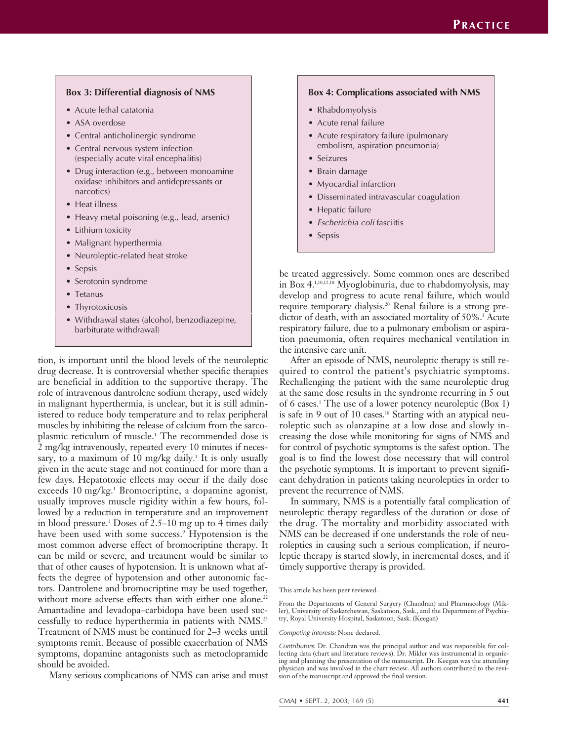## **Box 3: Differential diagnosis of NMS**

- Acute lethal catatonia
- ASA overdose
- Central anticholinergic syndrome
- Central nervous system infection (especially acute viral encephalitis)
- Drug interaction (e.g., between monoamine oxidase inhibitors and antidepressants or narcotics)
- Heat illness
- Heavy metal poisoning (e.g., lead, arsenic)
- Lithium toxicity
- Malignant hyperthermia
- Neuroleptic-related heat stroke
- Sepsis
- Serotonin syndrome
- Tetanus
- Thyrotoxicosis
- Withdrawal states (alcohol, benzodiazepine, barbiturate withdrawal)

tion, is important until the blood levels of the neuroleptic drug decrease. It is controversial whether specific therapies are beneficial in addition to the supportive therapy. The role of intravenous dantrolene sodium therapy, used widely in malignant hyperthermia, is unclear, but it is still administered to reduce body temperature and to relax peripheral muscles by inhibiting the release of calcium from the sarcoplasmic reticulum of muscle.1 The recommended dose is 2 mg/kg intravenously, repeated every 10 minutes if necessary, to a maximum of  $10 \text{ mg/kg}$  daily.<sup>1</sup> It is only usually given in the acute stage and not continued for more than a few days. Hepatotoxic effects may occur if the daily dose exceeds 10 mg/kg.<sup>1</sup> Bromocriptine, a dopamine agonist, usually improves muscle rigidity within a few hours, followed by a reduction in temperature and an improvement in blood pressure.<sup>1</sup> Doses of 2.5–10 mg up to 4 times daily have been used with some success.<sup>9</sup> Hypotension is the most common adverse effect of bromocriptine therapy. It can be mild or severe, and treatment would be similar to that of other causes of hypotension. It is unknown what affects the degree of hypotension and other autonomic factors. Dantrolene and bromocriptine may be used together, without more adverse effects than with either one alone.<sup>22</sup> Amantadine and levadopa–carbidopa have been used successfully to reduce hyperthermia in patients with NMS.<sup>23</sup> Treatment of NMS must be continued for 2–3 weeks until symptoms remit. Because of possible exacerbation of NMS symptoms, dopamine antagonists such as metoclopramide should be avoided.

Many serious complications of NMS can arise and must

## **Box 4: Complications associated with NMS**

- Rhabdomyolysis
- Acute renal failure
- Acute respiratory failure (pulmonary embolism, aspiration pneumonia)
- Seizures
- Brain damage
- Myocardial infarction
- Disseminated intravascular coagulation
- Hepatic failure
- Escherichia coli fasciitis
- Sepsis

be treated aggressively. Some common ones are described in Box 4.1,10,12,18 Myoglobinuria, due to rhabdomyolysis, may develop and progress to acute renal failure, which would require temporary dialysis.20 Renal failure is a strong predictor of death, with an associated mortality of 50%.<sup>1</sup> Acute respiratory failure, due to a pulmonary embolism or aspiration pneumonia, often requires mechanical ventilation in the intensive care unit.

After an episode of NMS, neuroleptic therapy is still required to control the patient's psychiatric symptoms. Rechallenging the patient with the same neuroleptic drug at the same dose results in the syndrome recurring in 5 out of 6 cases.1 The use of a lower potency neuroleptic (Box 1) is safe in 9 out of 10 cases.<sup>18</sup> Starting with an atypical neuroleptic such as olanzapine at a low dose and slowly increasing the dose while monitoring for signs of NMS and for control of psychotic symptoms is the safest option. The goal is to find the lowest dose necessary that will control the psychotic symptoms. It is important to prevent significant dehydration in patients taking neuroleptics in order to prevent the recurrence of NMS.

In summary, NMS is a potentially fatal complication of neuroleptic therapy regardless of the duration or dose of the drug. The mortality and morbidity associated with NMS can be decreased if one understands the role of neuroleptics in causing such a serious complication, if neuroleptic therapy is started slowly, in incremental doses, and if timely supportive therapy is provided.

This article has been peer reviewed.

From the Departments of General Surgery (Chandran) and Pharmacology (Mikler), University of Saskatchewan, Saskatoon, Sask., and the Department of Psychiatry, Royal University Hospital, Saskatoon, Sask. (Keegan)

Competing interests*:* None declared.

Contributors*:* Dr. Chandran was the principal author and was responsible for collecting data (chart and literature reviews). Dr. Mikler was instrumental in organizing and planning the presentation of the manuscript. Dr. Keegan was the attending physician and was involved in the chart review. All authors contributed to the revision of the manuscript and approved the final version.